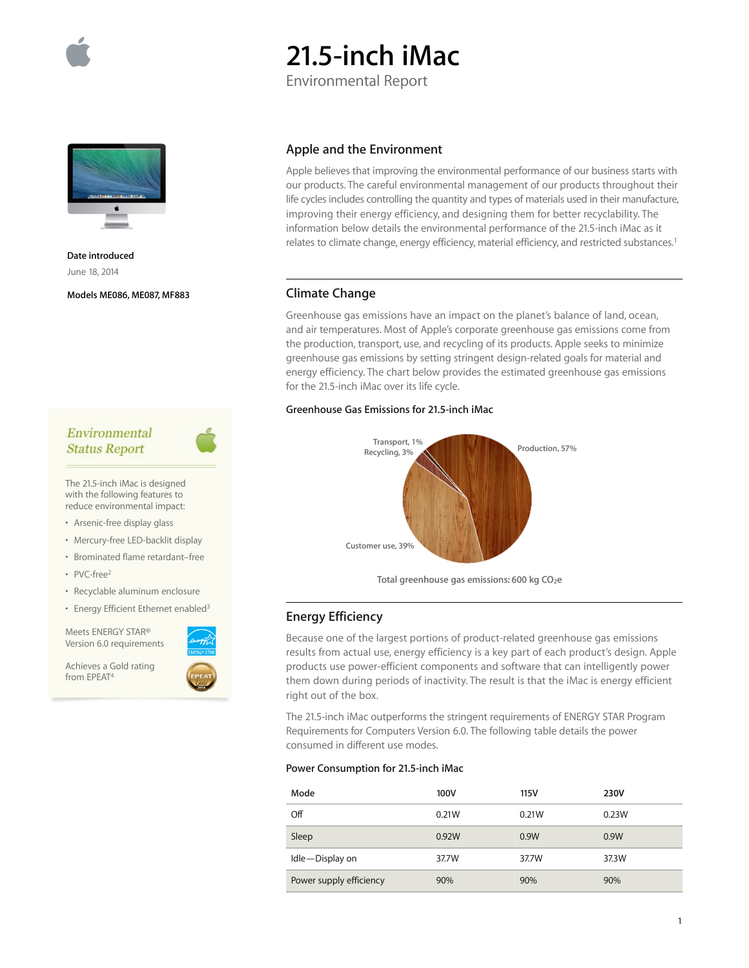

# **21.5-inch iMac**

Environmental Report



**Date introduced**  June 18, 2014

**Models ME086, ME087, MF883**

# **Apple and the Environment**

Apple believes that improving the environmental performance of our business starts with our products. The careful environmental management of our products throughout their life cycles includes controlling the quantity and types of materials used in their manufacture, improving their energy efficiency, and designing them for better recyclability. The information below details the environmental performance of the 21.5-inch iMac as it relates to climate change, energy efficiency, material efficiency, and restricted substances.<sup>1</sup>

## **Climate Change**

Greenhouse gas emissions have an impact on the planet's balance of land, ocean, and air temperatures. Most of Apple's corporate greenhouse gas emissions come from the production, transport, use, and recycling of its products. Apple seeks to minimize greenhouse gas emissions by setting stringent design-related goals for material and energy efficiency. The chart below provides the estimated greenhouse gas emissions for the 21.5-inch iMac over its life cycle.

## **Greenhouse Gas Emissions for 21.5-inch iMac**



Total greenhouse gas emissions: 600 kg CO<sub>2</sub>e

# **Energy Efficiency**

one of the largest portions of product-related greenhouse gas emissions rom actual use, energy efficiency is a key part of each product's design. Apple s use power-efficient components and software that can intelligently power them down during periods of inactivity. The result is that the iMac is energy efficient right out of the box.

The 21.5-inch iMac outperforms the stringent requirements of ENERGY STAR Program Requirements for Computers Version 6.0. The following table details the power consumed in different use modes.

## **Power Consumption for 21.5-inch iMac**

| Mode                    | 100V  | 115V  | 230V  |
|-------------------------|-------|-------|-------|
| Off                     | 0.21W | 0.21W | 0.23W |
| Sleep                   | 0.92W | 0.9W  | 0.9W  |
| Idle-Display on         | 37.7W | 37.7W | 37.3W |
| Power supply efficiency | 90%   | 90%   | 90%   |



The 21.5-inch iMac is designed with the following features to reduce environmental impact:

- Arsenic-free display glass
- Mercury-free LED-backlit display • Brominated flame retardant–free
- 
- PVC-free2
- Recyclable aluminum enclosure
- Energy Efficient Ethernet enabled<sup>3</sup>

Meets ENERGY STAR® Version 6.0 requirements

Achieves a Gold rating from EPEAT4



| <b>Because</b> |
|----------------|
| results fi     |
| product:       |
| tham de        |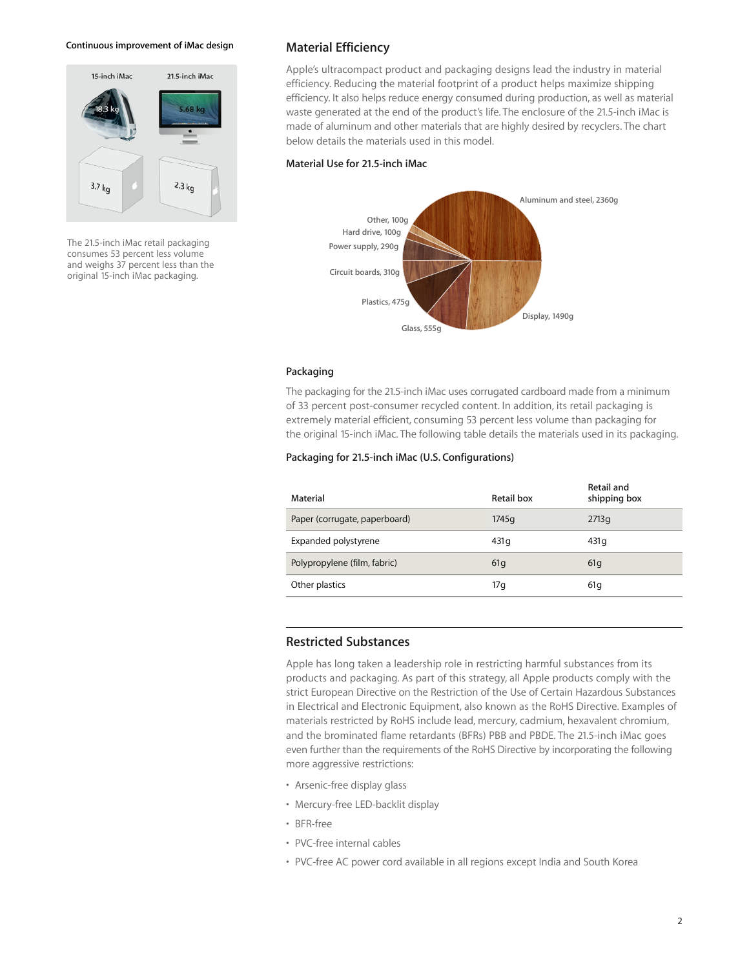#### **Continuous improvement of iMac design**



The 21.5-inch iMac retail packaging consumes 53 percent less volume and weighs 37 percent less than the original 15-inch iMac packaging.

## **Material Efficiency**

Apple's ultracompact product and packaging designs lead the industry in material efficiency. Reducing the material footprint of a product helps maximize shipping efficiency. It also helps reduce energy consumed during production, as well as material waste generated at the end of the product's life. The enclosure of the 21.5-inch iMac is made of aluminum and other materials that are highly desired by recyclers. The chart below details the materials used in this model.

#### **Material Use for 21.5-inch iMac**



#### **Packaging**

The packaging for the 21.5-inch iMac uses corrugated cardboard made from a minimum of 33 percent post-consumer recycled content. In addition, its retail packaging is extremely material efficient, consuming 53 percent less volume than packaging for the original 15-inch iMac. The following table details the materials used in its packaging.

## **Packaging for 21.5-inch iMac (U.S. Configurations)**

| Material                      | Retail box       | Retail and<br>shipping box |
|-------------------------------|------------------|----------------------------|
| Paper (corrugate, paperboard) | 1745q            | 2713q                      |
| Expanded polystyrene          | 431 <sub>q</sub> | 431q                       |
| Polypropylene (film, fabric)  | 61q              | 61q                        |
| Other plastics                | 17g              | 61q                        |

## **Restricted Substances**

Apple has long taken a leadership role in restricting harmful substances from its products and packaging. As part of this strategy, all Apple products comply with the strict European Directive on the Restriction of the Use of Certain Hazardous Substances in Electrical and Electronic Equipment, also known as the RoHS Directive. Examples of materials restricted by RoHS include lead, mercury, cadmium, hexavalent chromium, and the brominated flame retardants (BFRs) PBB and PBDE. The 21.5-inch iMac goes even further than the requirements of the RoHS Directive by incorporating the following more aggressive restrictions:

- Arsenic-free display glass
- Mercury-free LED-backlit display
- BFR-free
- PVC-free internal cables
- PVC-free AC power cord available in all regions except India and South Korea